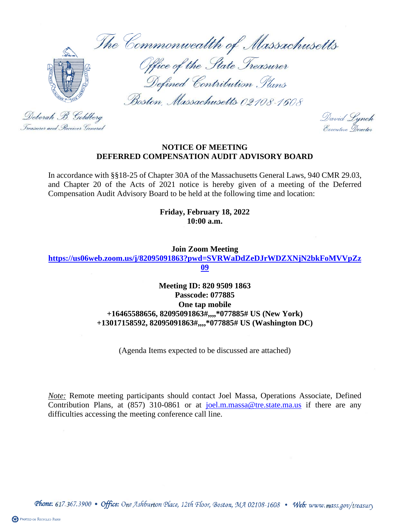The Commonwealth of Massachusetts



Office of the State Treasurer Defined Contribution Plans

Boston, Massachusetts 02108-1608

David Lynch<br>Executive Director

## **NOTICE OF MEETING DEFERRED COMPENSATION AUDIT ADVISORY BOARD**

In accordance with §§18-25 of Chapter 30A of the Massachusetts General Laws, 940 CMR 29.03, and Chapter 20 of the Acts of 2021 notice is hereby given of a meeting of the Deferred Compensation Audit Advisory Board to be held at the following time and location:

> **Friday, February 18, 2022 10:00 a.m.**

> > **Join Zoom Meeting**

**[https://us06web.zoom.us/j/82095091863?pwd=SVRWaDdZeDJrWDZXNjN2bkFoMVVpZz](https://us06web.zoom.us/j/82095091863?pwd=SVRWaDdZeDJrWDZXNjN2bkFoMVVpZz09) [09](https://us06web.zoom.us/j/82095091863?pwd=SVRWaDdZeDJrWDZXNjN2bkFoMVVpZz09)**

> **Meeting ID: 820 9509 1863 Passcode: 077885 One tap mobile +16465588656, 82095091863#,,,,\*077885# US (New York) +13017158592, 82095091863#,,,,\*077885# US (Washington DC)**

> > (Agenda Items expected to be discussed are attached)

*Note:* Remote meeting participants should contact Joel Massa, Operations Associate, Defined Contribution Plans, at  $(857)$  310-0861 or at [joel.m.massa@tre.state.ma.us](mailto:joel.m.massa@tre.state.ma.us) if there are any difficulties accessing the meeting conference call line.

Deborah B. Goldberg Treasurer and Receiver General